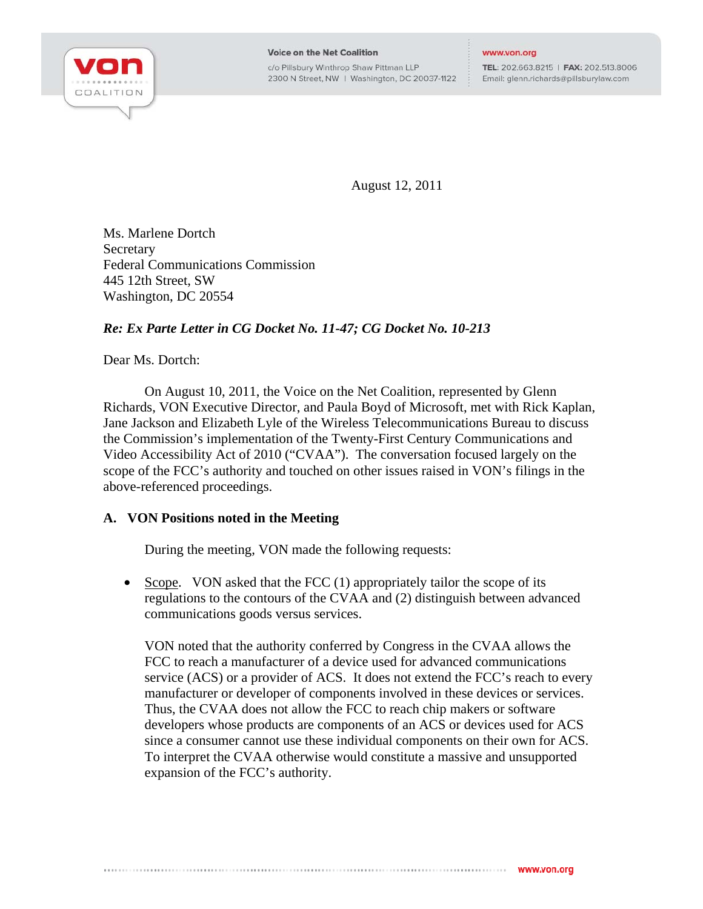

**Voice on the Net Coalition** c/o Pillsbury Winthrop Shaw Pittman LLP

2300 N Street, NW | Washington, DC 20037-1122

www.von.org

TEL: 202.663.8215 | FAX: 202.513.8006 Email: glenn.richards@pillsburylaw.com

August 12, 2011

Ms. Marlene Dortch **Secretary** Federal Communications Commission 445 12th Street, SW Washington, DC 20554

## *Re: Ex Parte Letter in CG Docket No. 11-47; CG Docket No. 10-213*

Dear Ms. Dortch:

On August 10, 2011, the Voice on the Net Coalition, represented by Glenn Richards, VON Executive Director, and Paula Boyd of Microsoft, met with Rick Kaplan, Jane Jackson and Elizabeth Lyle of the Wireless Telecommunications Bureau to discuss the Commission's implementation of the Twenty-First Century Communications and Video Accessibility Act of 2010 ("CVAA"). The conversation focused largely on the scope of the FCC's authority and touched on other issues raised in VON's filings in the above-referenced proceedings.

## **A. VON Positions noted in the Meeting**

During the meeting, VON made the following requests:

• Scope. VON asked that the FCC  $(1)$  appropriately tailor the scope of its regulations to the contours of the CVAA and (2) distinguish between advanced communications goods versus services.

VON noted that the authority conferred by Congress in the CVAA allows the FCC to reach a manufacturer of a device used for advanced communications service (ACS) or a provider of ACS. It does not extend the FCC's reach to every manufacturer or developer of components involved in these devices or services. Thus, the CVAA does not allow the FCC to reach chip makers or software developers whose products are components of an ACS or devices used for ACS since a consumer cannot use these individual components on their own for ACS. To interpret the CVAA otherwise would constitute a massive and unsupported expansion of the FCC's authority.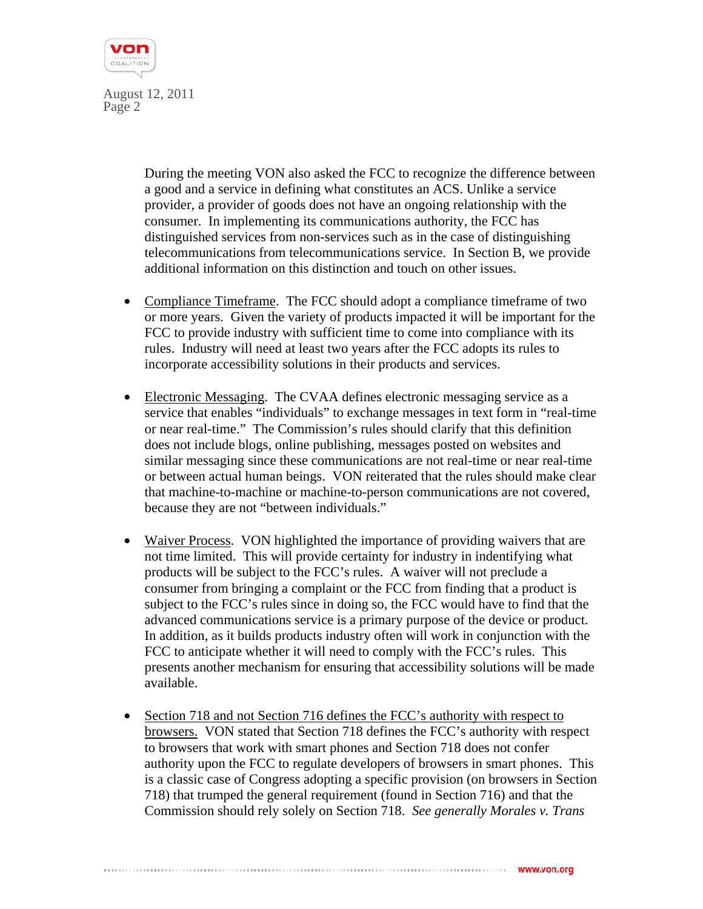

> During the meeting VON also asked the FCC to recognize the difference between a good and a service in defining what constitutes an ACS. Unlike a service provider, a provider of goods does not have an ongoing relationship with the consumer. In implementing its communications authority, the FCC has distinguished services from non-services such as in the case of distinguishing telecommunications from telecommunications service. In Section B, we provide additional information on this distinction and touch on other issues.

- Compliance Timeframe. The FCC should adopt a compliance timeframe of two or more years. Given the variety of products impacted it will be important for the FCC to provide industry with sufficient time to come into compliance with its rules. Industry will need at least two years after the FCC adopts its rules to incorporate accessibility solutions in their products and services.
- Electronic Messaging. The CVAA defines electronic messaging service as a service that enables "individuals" to exchange messages in text form in "real-time or near real-time." The Commission's rules should clarify that this definition does not include blogs, online publishing, messages posted on websites and similar messaging since these communications are not real-time or near real-time or between actual human beings. VON reiterated that the rules should make clear that machine-to-machine or machine-to-person communications are not covered, because they are not "between individuals."
- Waiver Process. VON highlighted the importance of providing waivers that are not time limited. This will provide certainty for industry in indentifying what products will be subject to the FCC's rules. A waiver will not preclude a consumer from bringing a complaint or the FCC from finding that a product is subject to the FCC's rules since in doing so, the FCC would have to find that the advanced communications service is a primary purpose of the device or product. In addition, as it builds products industry often will work in conjunction with the FCC to anticipate whether it will need to comply with the FCC's rules. This presents another mechanism for ensuring that accessibility solutions will be made available.
- Section 718 and not Section 716 defines the FCC's authority with respect to browsers. VON stated that Section 718 defines the FCC's authority with respect to browsers that work with smart phones and Section 718 does not confer authority upon the FCC to regulate developers of browsers in smart phones. This is a classic case of Congress adopting a specific provision (on browsers in Section 718) that trumped the general requirement (found in Section 716) and that the Commission should rely solely on Section 718. *See generally Morales v. Trans*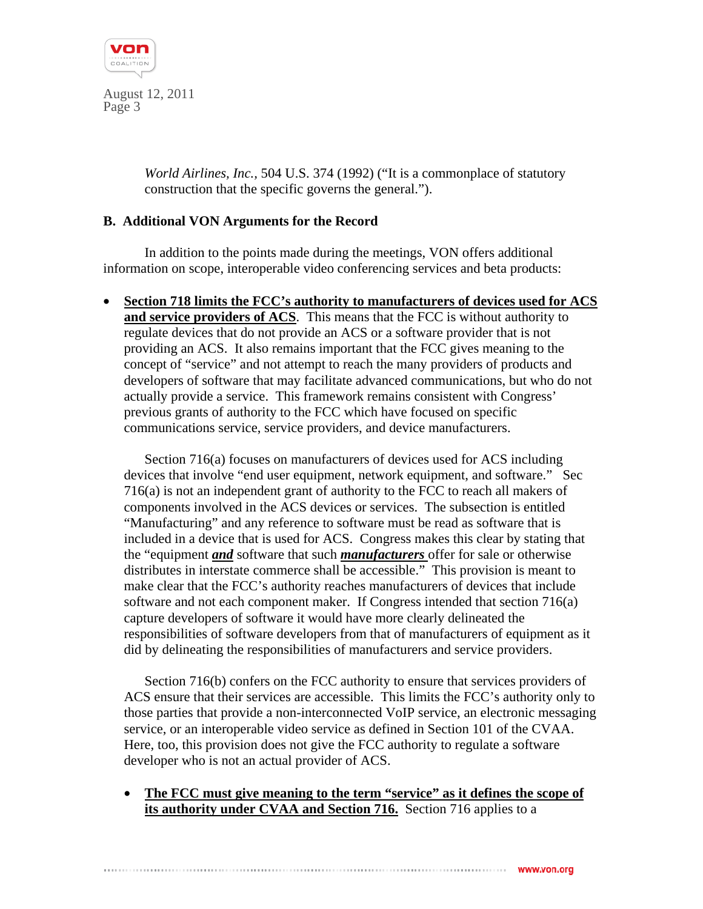

> *World Airlines, Inc.,* 504 U.S. 374 (1992) ("It is a commonplace of statutory construction that the specific governs the general.").

## **B. Additional VON Arguments for the Record**

In addition to the points made during the meetings, VON offers additional information on scope, interoperable video conferencing services and beta products:

• **Section 718 limits the FCC's authority to manufacturers of devices used for ACS and service providers of ACS**. This means that the FCC is without authority to regulate devices that do not provide an ACS or a software provider that is not providing an ACS. It also remains important that the FCC gives meaning to the concept of "service" and not attempt to reach the many providers of products and developers of software that may facilitate advanced communications, but who do not actually provide a service. This framework remains consistent with Congress' previous grants of authority to the FCC which have focused on specific communications service, service providers, and device manufacturers.

Section 716(a) focuses on manufacturers of devices used for ACS including devices that involve "end user equipment, network equipment, and software." Sec 716(a) is not an independent grant of authority to the FCC to reach all makers of components involved in the ACS devices or services. The subsection is entitled "Manufacturing" and any reference to software must be read as software that is included in a device that is used for ACS. Congress makes this clear by stating that the "equipment *and* software that such *manufacturers* offer for sale or otherwise distributes in interstate commerce shall be accessible." This provision is meant to make clear that the FCC's authority reaches manufacturers of devices that include software and not each component maker. If Congress intended that section 716(a) capture developers of software it would have more clearly delineated the responsibilities of software developers from that of manufacturers of equipment as it did by delineating the responsibilities of manufacturers and service providers.

Section 716(b) confers on the FCC authority to ensure that services providers of ACS ensure that their services are accessible. This limits the FCC's authority only to those parties that provide a non-interconnected VoIP service, an electronic messaging service, or an interoperable video service as defined in Section 101 of the CVAA. Here, too, this provision does not give the FCC authority to regulate a software developer who is not an actual provider of ACS.

• **The FCC must give meaning to the term "service" as it defines the scope of its authority under CVAA and Section 716.** Section 716 applies to a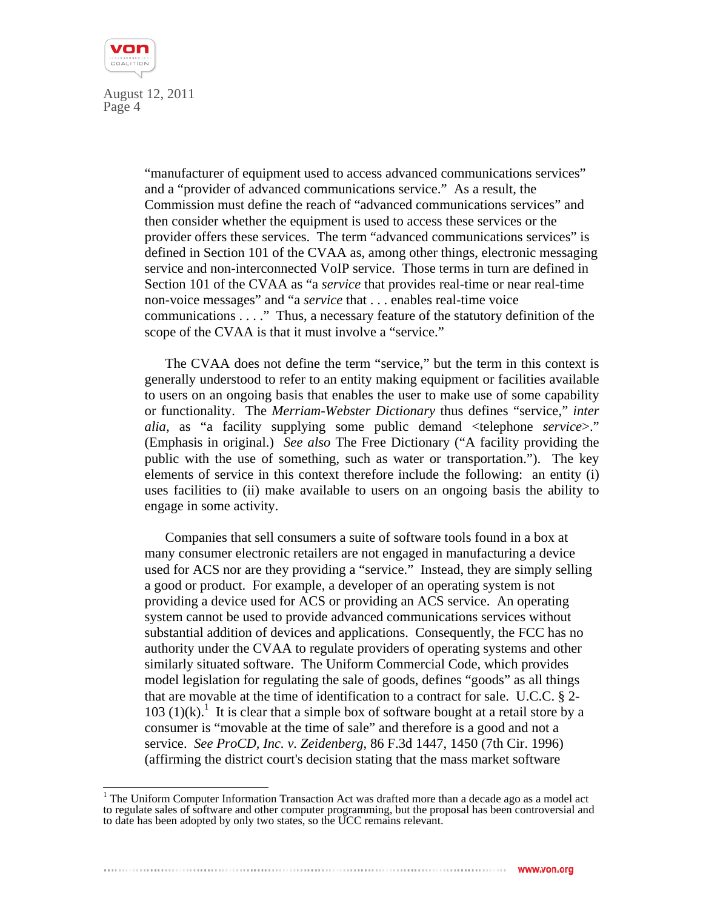

> "manufacturer of equipment used to access advanced communications services" and a "provider of advanced communications service." As a result, the Commission must define the reach of "advanced communications services" and then consider whether the equipment is used to access these services or the provider offers these services. The term "advanced communications services" is defined in Section 101 of the CVAA as, among other things, electronic messaging service and non-interconnected VoIP service. Those terms in turn are defined in Section 101 of the CVAA as "a *service* that provides real-time or near real-time non-voice messages" and "a *service* that . . . enables real-time voice communications . . . ." Thus, a necessary feature of the statutory definition of the scope of the CVAA is that it must involve a "service."

> The CVAA does not define the term "service," but the term in this context is generally understood to refer to an entity making equipment or facilities available to users on an ongoing basis that enables the user to make use of some capability or functionality. The *Merriam-Webster Dictionary* thus defines "service," *inter alia,* as "a facility supplying some public demand <telephone *service*>." (Emphasis in original.) *See also* The Free Dictionary ("A facility providing the public with the use of something, such as water or transportation."). The key elements of service in this context therefore include the following: an entity (i) uses facilities to (ii) make available to users on an ongoing basis the ability to engage in some activity.

Companies that sell consumers a suite of software tools found in a box at many consumer electronic retailers are not engaged in manufacturing a device used for ACS nor are they providing a "service." Instead, they are simply selling a good or product. For example, a developer of an operating system is not providing a device used for ACS or providing an ACS service. An operating system cannot be used to provide advanced communications services without substantial addition of devices and applications. Consequently, the FCC has no authority under the CVAA to regulate providers of operating systems and other similarly situated software. The Uniform Commercial Code, which provides model legislation for regulating the sale of goods, defines "goods" as all things that are movable at the time of identification to a contract for sale. U.C.C. § 2-  $103$  (1)(k).<sup>1</sup> It is clear that a simple box of software bought at a retail store by a consumer is "movable at the time of sale" and therefore is a good and not a service. *See ProCD, Inc. v. Zeidenberg*, 86 F.3d 1447, 1450 (7th Cir. 1996) (affirming the district court's decision stating that the mass market software

<sup>&</sup>lt;sup>1</sup> The Uniform Computer Information Transaction Act was drafted more than a decade ago as a model act to regulate sales of software and other computer programming, but the proposal has been controversial and to date has been adopted by only two states, so the UCC remains relevant.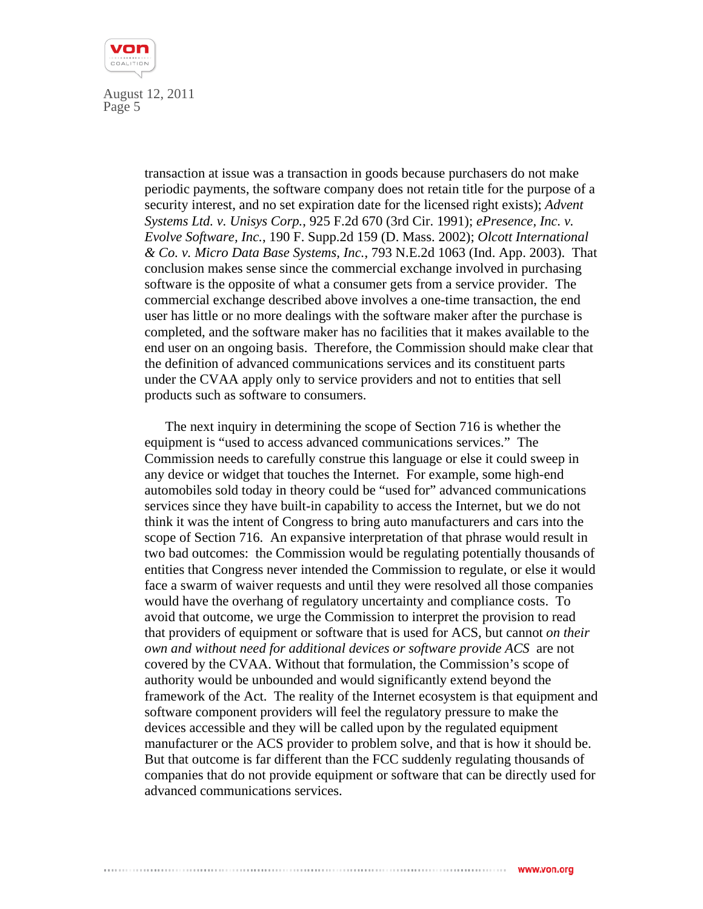

> transaction at issue was a transaction in goods because purchasers do not make periodic payments, the software company does not retain title for the purpose of a security interest, and no set expiration date for the licensed right exists); *Advent Systems Ltd. v. Unisys Corp.*, 925 F.2d 670 (3rd Cir. 1991); *ePresence, Inc. v. Evolve Software, Inc.*, 190 F. Supp.2d 159 (D. Mass. 2002); *Olcott International & Co. v. Micro Data Base Systems, Inc.*, 793 N.E.2d 1063 (Ind. App. 2003). That conclusion makes sense since the commercial exchange involved in purchasing software is the opposite of what a consumer gets from a service provider. The commercial exchange described above involves a one-time transaction, the end user has little or no more dealings with the software maker after the purchase is completed, and the software maker has no facilities that it makes available to the end user on an ongoing basis. Therefore, the Commission should make clear that the definition of advanced communications services and its constituent parts under the CVAA apply only to service providers and not to entities that sell products such as software to consumers.

> The next inquiry in determining the scope of Section 716 is whether the equipment is "used to access advanced communications services." The Commission needs to carefully construe this language or else it could sweep in any device or widget that touches the Internet. For example, some high-end automobiles sold today in theory could be "used for" advanced communications services since they have built-in capability to access the Internet, but we do not think it was the intent of Congress to bring auto manufacturers and cars into the scope of Section 716. An expansive interpretation of that phrase would result in two bad outcomes: the Commission would be regulating potentially thousands of entities that Congress never intended the Commission to regulate, or else it would face a swarm of waiver requests and until they were resolved all those companies would have the overhang of regulatory uncertainty and compliance costs. To avoid that outcome, we urge the Commission to interpret the provision to read that providers of equipment or software that is used for ACS, but cannot *on their own and without need for additional devices or software provide ACS* are not covered by the CVAA. Without that formulation, the Commission's scope of authority would be unbounded and would significantly extend beyond the framework of the Act. The reality of the Internet ecosystem is that equipment and software component providers will feel the regulatory pressure to make the devices accessible and they will be called upon by the regulated equipment manufacturer or the ACS provider to problem solve, and that is how it should be. But that outcome is far different than the FCC suddenly regulating thousands of companies that do not provide equipment or software that can be directly used for advanced communications services.